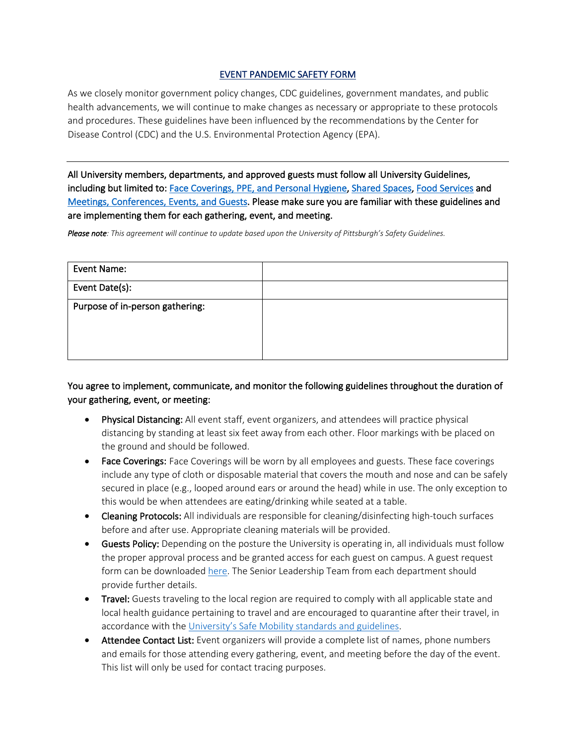## EVENT PANDEMIC SAFETY FORM

As we closely monitor government policy changes, CDC guidelines, government mandates, and public health advancements, we will continue to make changes as necessary or appropriate to these protocols and procedures. These guidelines have been influenced by the recommendations by the Center for Disease Control (CDC) and the U.S. Environmental Protection Agency (EPA).

All University members, departments, and approved guests must follow all University Guidelines, including but limited to: Face Coverings, PPE, and Personal Hygiene, Shared Spaces, Food Services and Meetings, Conferences, Events, and Guests. Please make sure you are familiar with these guidelines and are implementing them for each gathering, event, and meeting.

*Please note: This agreement will continue to update based upon the University of Pittsburgh's Safety Guidelines.*

| Event Name:                     |  |
|---------------------------------|--|
| Event Date(s):                  |  |
| Purpose of in-person gathering: |  |
|                                 |  |

You agree to implement, communicate, and monitor the following guidelines throughout the duration of your gathering, event, or meeting:

- Physical Distancing: All event staff, event organizers, and attendees will practice physical distancing by standing at least six feet away from each other. Floor markings with be placed on the ground and should be followed.
- Face Coverings: Face Coverings will be worn by all employees and guests. These face coverings include any type of cloth or disposable material that covers the mouth and nose and can be safely secured in place (e.g., looped around ears or around the head) while in use. The only exception to this would be when attendees are eating/drinking while seated at a table.
- Cleaning Protocols: All individuals are responsible for cleaning/disinfecting high-touch surfaces before and after use. Appropriate cleaning materials will be provided.
- Guests Policy: Depending on the posture the University is operating in, all individuals must follow the proper approval process and be granted access for each guest on campus. A guest request form can be downloaded here. The Senior Leadership Team from each department should provide further details.
- Travel: Guests traveling to the local region are required to comply with all applicable state and local health guidance pertaining to travel and are encouraged to quarantine after their travel, in accordance with the University's Safe Mobility standards and guidelines.
- Attendee Contact List: Event organizers will provide a complete list of names, phone numbers and emails for those attending every gathering, event, and meeting before the day of the event. This list will only be used for contact tracing purposes.